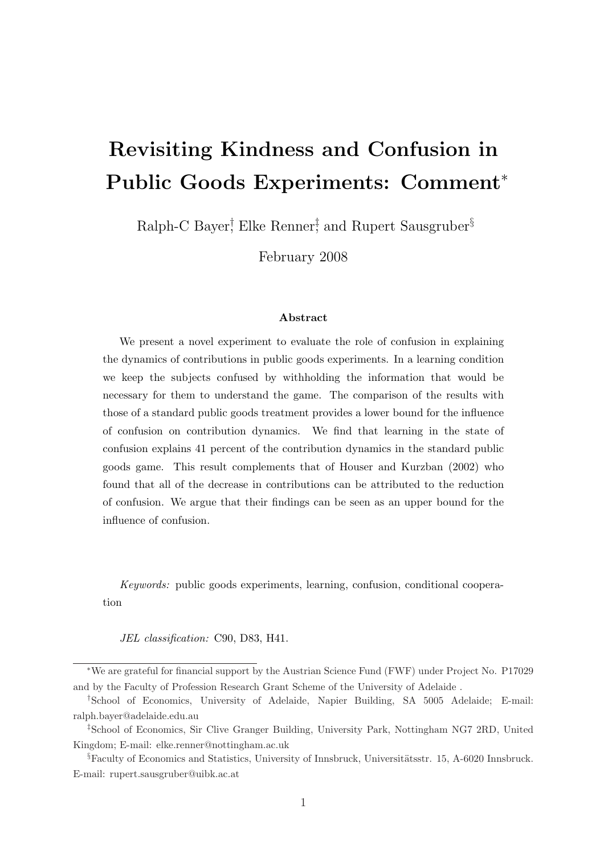# Revisiting Kindness and Confusion in Public Goods Experiments: Comment<sup>∗</sup>

Ralph-C Bayer<sup>†</sup>, Elke Renner<sup>†</sup>, and Rupert Sausgruber<sup>§</sup>

February 2008

#### Abstract

We present a novel experiment to evaluate the role of confusion in explaining the dynamics of contributions in public goods experiments. In a learning condition we keep the subjects confused by withholding the information that would be necessary for them to understand the game. The comparison of the results with those of a standard public goods treatment provides a lower bound for the influence of confusion on contribution dynamics. We find that learning in the state of confusion explains 41 percent of the contribution dynamics in the standard public goods game. This result complements that of Houser and Kurzban (2002) who found that all of the decrease in contributions can be attributed to the reduction of confusion. We argue that their findings can be seen as an upper bound for the influence of confusion.

Keywords: public goods experiments, learning, confusion, conditional cooperation

JEL classification: C90, D83, H41.

<sup>∗</sup>We are grateful for financial support by the Austrian Science Fund (FWF) under Project No. P17029 and by the Faculty of Profession Research Grant Scheme of the University of Adelaide .

<sup>†</sup>School of Economics, University of Adelaide, Napier Building, SA 5005 Adelaide; E-mail: ralph.bayer@adelaide.edu.au

<sup>‡</sup>School of Economics, Sir Clive Granger Building, University Park, Nottingham NG7 2RD, United Kingdom; E-mail: elke.renner@nottingham.ac.uk

 $\S$ Faculty of Economics and Statistics, University of Innsbruck, Universitätsstr. 15, A-6020 Innsbruck. E-mail: rupert.sausgruber@uibk.ac.at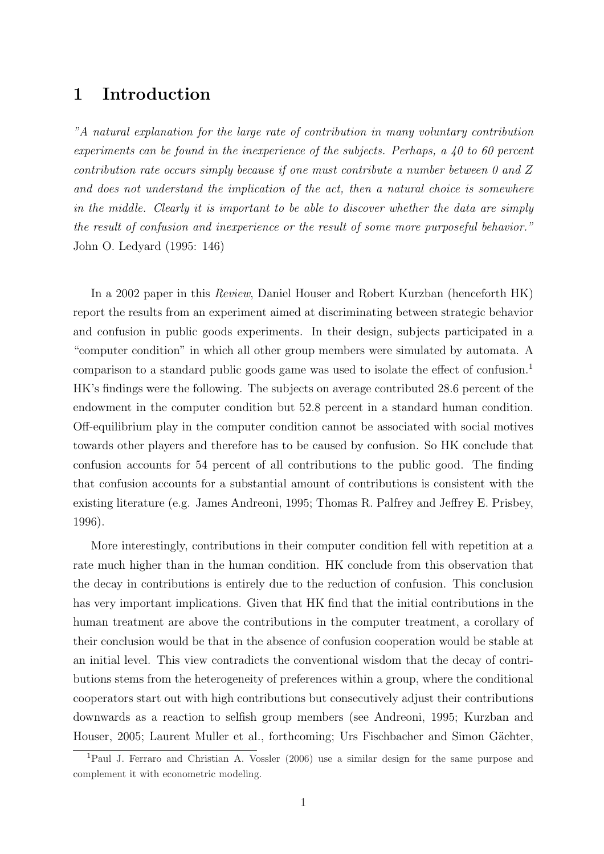# 1 Introduction

"A natural explanation for the large rate of contribution in many voluntary contribution experiments can be found in the inexperience of the subjects. Perhaps, a 40 to 60 percent contribution rate occurs simply because if one must contribute a number between 0 and Z and does not understand the implication of the act, then a natural choice is somewhere in the middle. Clearly it is important to be able to discover whether the data are simply the result of confusion and inexperience or the result of some more purposeful behavior." John O. Ledyard (1995: 146)

In a 2002 paper in this Review, Daniel Houser and Robert Kurzban (henceforth HK) report the results from an experiment aimed at discriminating between strategic behavior and confusion in public goods experiments. In their design, subjects participated in a "computer condition" in which all other group members were simulated by automata. A comparison to a standard public goods game was used to isolate the effect of confusion.<sup>1</sup> HK's findings were the following. The subjects on average contributed 28.6 percent of the endowment in the computer condition but 52.8 percent in a standard human condition. Off-equilibrium play in the computer condition cannot be associated with social motives towards other players and therefore has to be caused by confusion. So HK conclude that confusion accounts for 54 percent of all contributions to the public good. The finding that confusion accounts for a substantial amount of contributions is consistent with the existing literature (e.g. James Andreoni, 1995; Thomas R. Palfrey and Jeffrey E. Prisbey, 1996).

More interestingly, contributions in their computer condition fell with repetition at a rate much higher than in the human condition. HK conclude from this observation that the decay in contributions is entirely due to the reduction of confusion. This conclusion has very important implications. Given that HK find that the initial contributions in the human treatment are above the contributions in the computer treatment, a corollary of their conclusion would be that in the absence of confusion cooperation would be stable at an initial level. This view contradicts the conventional wisdom that the decay of contributions stems from the heterogeneity of preferences within a group, where the conditional cooperators start out with high contributions but consecutively adjust their contributions downwards as a reaction to selfish group members (see Andreoni, 1995; Kurzban and Houser, 2005; Laurent Muller et al., forthcoming; Urs Fischbacher and Simon Gächter,

<sup>1</sup>Paul J. Ferraro and Christian A. Vossler (2006) use a similar design for the same purpose and complement it with econometric modeling.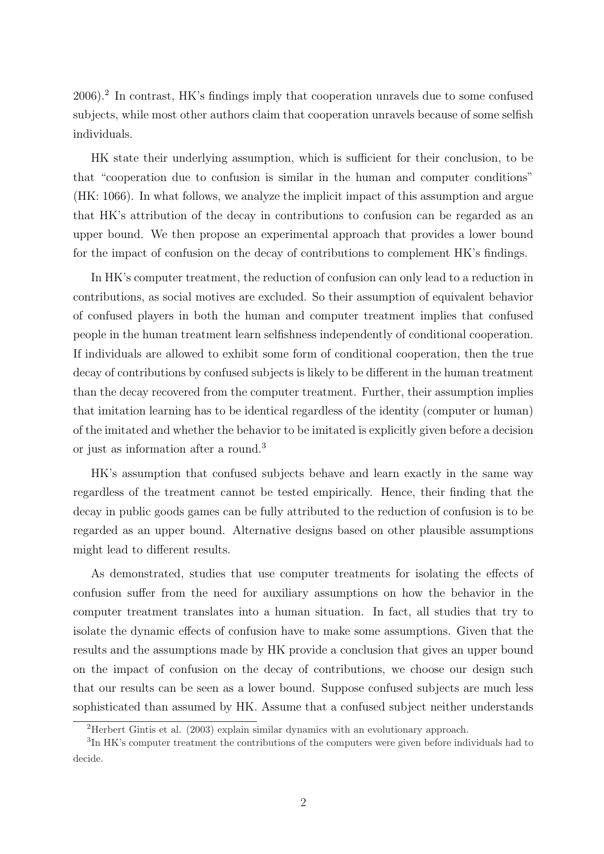2006).<sup>2</sup> In contrast, HK's findings imply that cooperation unravels due to some confused subjects, while most other authors claim that cooperation unravels because of some selfish individuals.

HK state their underlying assumption, which is sufficient for their conclusion, to be that "cooperation due to confusion is similar in the human and computer conditions" (HK: 1066). In what follows, we analyze the implicit impact of this assumption and argue that HK's attribution of the decay in contributions to confusion can be regarded as an upper bound. We then propose an experimental approach that provides a lower bound for the impact of confusion on the decay of contributions to complement HK's findings.

In HK's computer treatment, the reduction of confusion can only lead to a reduction in contributions, as social motives are excluded. So their assumption of equivalent behavior of confused players in both the human and computer treatment implies that confused people in the human treatment learn selfishness independently of conditional cooperation. If individuals are allowed to exhibit some form of conditional cooperation, then the true decay of contributions by confused subjects is likely to be different in the human treatment than the decay recovered from the computer treatment. Further, their assumption implies that imitation learning has to be identical regardless of the identity (computer or human) of the imitated and whether the behavior to be imitated is explicitly given before a decision or just as information after a round.<sup>3</sup>

HK's assumption that confused subjects behave and learn exactly in the same way regardless of the treatment cannot be tested empirically. Hence, their finding that the decay in public goods games can be fully attributed to the reduction of confusion is to be regarded as an upper bound. Alternative designs based on other plausible assumptions might lead to different results.

As demonstrated, studies that use computer treatments for isolating the effects of confusion suffer from the need for auxiliary assumptions on how the behavior in the computer treatment translates into a human situation. In fact, all studies that try to isolate the dynamic effects of confusion have to make some assumptions. Given that the results and the assumptions made by HK provide a conclusion that gives an upper bound on the impact of confusion on the decay of contributions, we choose our design such that our results can be seen as a lower bound. Suppose confused subjects are much less sophisticated than assumed by HK. Assume that a confused subject neither understands

<sup>2</sup>Herbert Gintis et al. (2003) explain similar dynamics with an evolutionary approach.

<sup>&</sup>lt;sup>3</sup>In HK's computer treatment the contributions of the computers were given before individuals had to decide.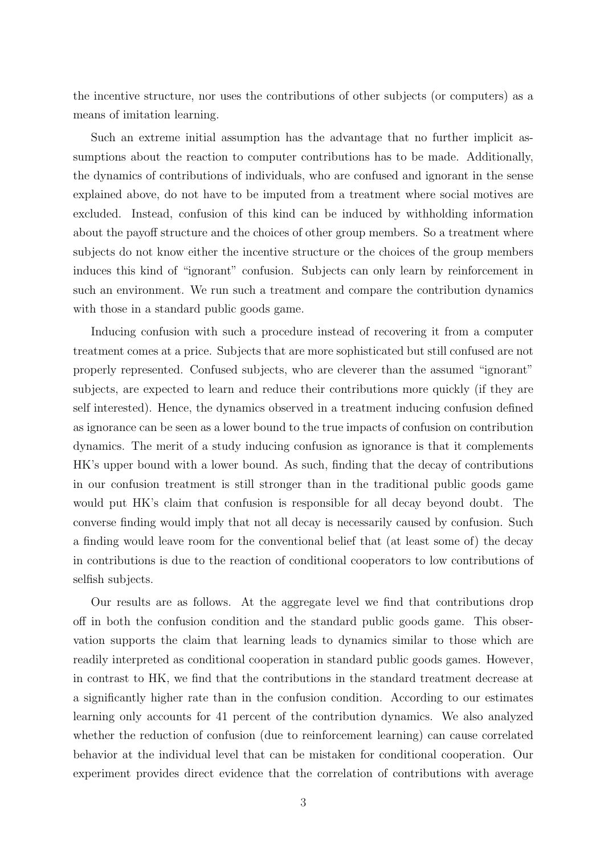the incentive structure, nor uses the contributions of other subjects (or computers) as a means of imitation learning.

Such an extreme initial assumption has the advantage that no further implicit assumptions about the reaction to computer contributions has to be made. Additionally, the dynamics of contributions of individuals, who are confused and ignorant in the sense explained above, do not have to be imputed from a treatment where social motives are excluded. Instead, confusion of this kind can be induced by withholding information about the payoff structure and the choices of other group members. So a treatment where subjects do not know either the incentive structure or the choices of the group members induces this kind of "ignorant" confusion. Subjects can only learn by reinforcement in such an environment. We run such a treatment and compare the contribution dynamics with those in a standard public goods game.

Inducing confusion with such a procedure instead of recovering it from a computer treatment comes at a price. Subjects that are more sophisticated but still confused are not properly represented. Confused subjects, who are cleverer than the assumed "ignorant" subjects, are expected to learn and reduce their contributions more quickly (if they are self interested). Hence, the dynamics observed in a treatment inducing confusion defined as ignorance can be seen as a lower bound to the true impacts of confusion on contribution dynamics. The merit of a study inducing confusion as ignorance is that it complements HK's upper bound with a lower bound. As such, finding that the decay of contributions in our confusion treatment is still stronger than in the traditional public goods game would put HK's claim that confusion is responsible for all decay beyond doubt. The converse finding would imply that not all decay is necessarily caused by confusion. Such a finding would leave room for the conventional belief that (at least some of) the decay in contributions is due to the reaction of conditional cooperators to low contributions of selfish subjects.

Our results are as follows. At the aggregate level we find that contributions drop off in both the confusion condition and the standard public goods game. This observation supports the claim that learning leads to dynamics similar to those which are readily interpreted as conditional cooperation in standard public goods games. However, in contrast to HK, we find that the contributions in the standard treatment decrease at a significantly higher rate than in the confusion condition. According to our estimates learning only accounts for 41 percent of the contribution dynamics. We also analyzed whether the reduction of confusion (due to reinforcement learning) can cause correlated behavior at the individual level that can be mistaken for conditional cooperation. Our experiment provides direct evidence that the correlation of contributions with average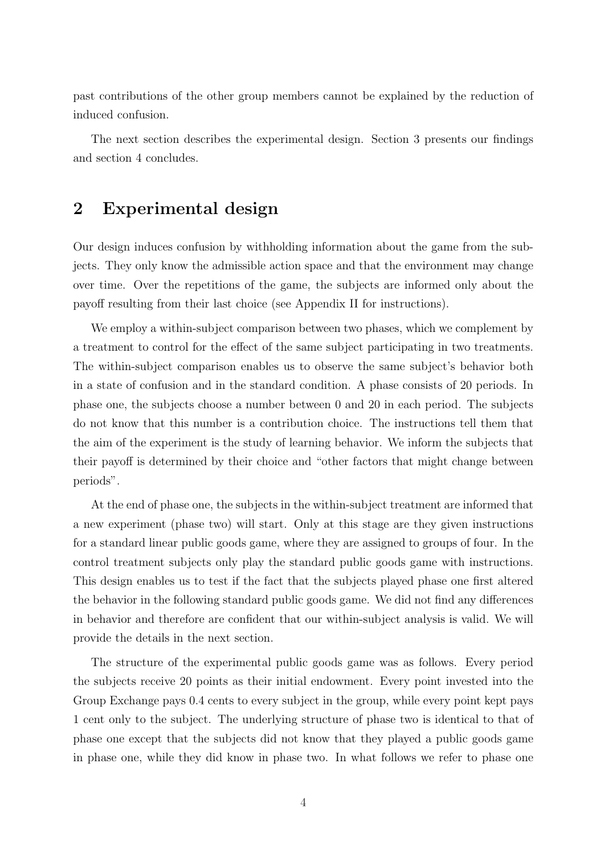past contributions of the other group members cannot be explained by the reduction of induced confusion.

The next section describes the experimental design. Section 3 presents our findings and section 4 concludes.

### 2 Experimental design

Our design induces confusion by withholding information about the game from the subjects. They only know the admissible action space and that the environment may change over time. Over the repetitions of the game, the subjects are informed only about the payoff resulting from their last choice (see Appendix II for instructions).

We employ a within-subject comparison between two phases, which we complement by a treatment to control for the effect of the same subject participating in two treatments. The within-subject comparison enables us to observe the same subject's behavior both in a state of confusion and in the standard condition. A phase consists of 20 periods. In phase one, the subjects choose a number between 0 and 20 in each period. The subjects do not know that this number is a contribution choice. The instructions tell them that the aim of the experiment is the study of learning behavior. We inform the subjects that their payoff is determined by their choice and "other factors that might change between periods".

At the end of phase one, the subjects in the within-subject treatment are informed that a new experiment (phase two) will start. Only at this stage are they given instructions for a standard linear public goods game, where they are assigned to groups of four. In the control treatment subjects only play the standard public goods game with instructions. This design enables us to test if the fact that the subjects played phase one first altered the behavior in the following standard public goods game. We did not find any differences in behavior and therefore are confident that our within-subject analysis is valid. We will provide the details in the next section.

The structure of the experimental public goods game was as follows. Every period the subjects receive 20 points as their initial endowment. Every point invested into the Group Exchange pays 0.4 cents to every subject in the group, while every point kept pays 1 cent only to the subject. The underlying structure of phase two is identical to that of phase one except that the subjects did not know that they played a public goods game in phase one, while they did know in phase two. In what follows we refer to phase one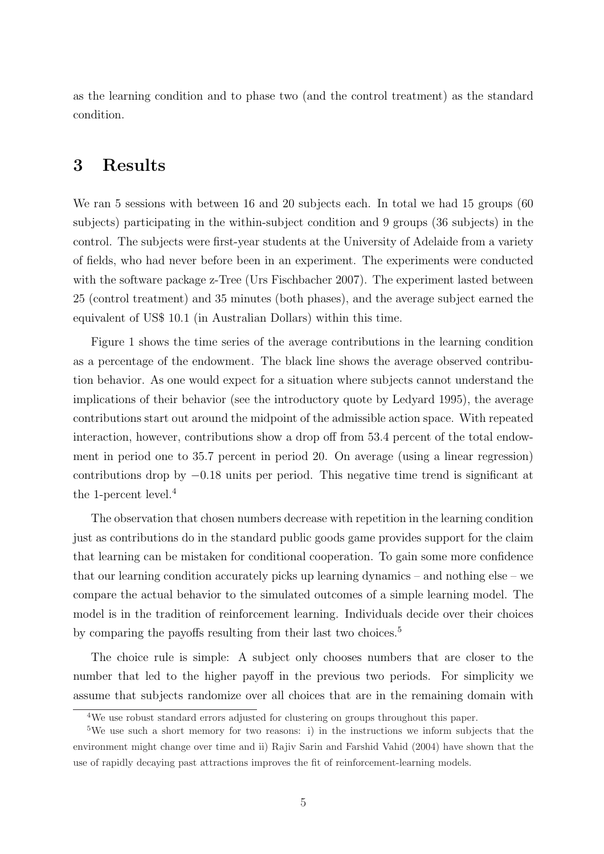as the learning condition and to phase two (and the control treatment) as the standard condition.

# 3 Results

We ran 5 sessions with between 16 and 20 subjects each. In total we had 15 groups (60) subjects) participating in the within-subject condition and 9 groups (36 subjects) in the control. The subjects were first-year students at the University of Adelaide from a variety of fields, who had never before been in an experiment. The experiments were conducted with the software package z-Tree (Urs Fischbacher 2007). The experiment lasted between 25 (control treatment) and 35 minutes (both phases), and the average subject earned the equivalent of US\$ 10.1 (in Australian Dollars) within this time.

Figure 1 shows the time series of the average contributions in the learning condition as a percentage of the endowment. The black line shows the average observed contribution behavior. As one would expect for a situation where subjects cannot understand the implications of their behavior (see the introductory quote by Ledyard 1995), the average contributions start out around the midpoint of the admissible action space. With repeated interaction, however, contributions show a drop off from 53.4 percent of the total endowment in period one to 35.7 percent in period 20. On average (using a linear regression) contributions drop by −0.18 units per period. This negative time trend is significant at the 1-percent level.<sup>4</sup>

The observation that chosen numbers decrease with repetition in the learning condition just as contributions do in the standard public goods game provides support for the claim that learning can be mistaken for conditional cooperation. To gain some more confidence that our learning condition accurately picks up learning dynamics – and nothing else – we compare the actual behavior to the simulated outcomes of a simple learning model. The model is in the tradition of reinforcement learning. Individuals decide over their choices by comparing the payoffs resulting from their last two choices.<sup>5</sup>

The choice rule is simple: A subject only chooses numbers that are closer to the number that led to the higher payoff in the previous two periods. For simplicity we assume that subjects randomize over all choices that are in the remaining domain with

<sup>4</sup>We use robust standard errors adjusted for clustering on groups throughout this paper.

<sup>&</sup>lt;sup>5</sup>We use such a short memory for two reasons: i) in the instructions we inform subjects that the environment might change over time and ii) Rajiv Sarin and Farshid Vahid (2004) have shown that the use of rapidly decaying past attractions improves the fit of reinforcement-learning models.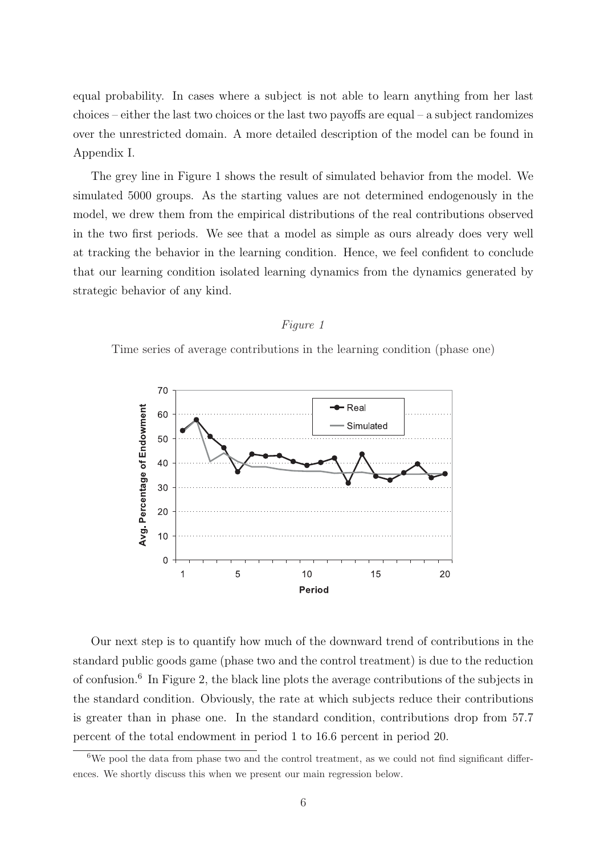equal probability. In cases where a subject is not able to learn anything from her last choices – either the last two choices or the last two payoffs are equal – a subject randomizes over the unrestricted domain. A more detailed description of the model can be found in Appendix I.

The grey line in Figure 1 shows the result of simulated behavior from the model. We simulated 5000 groups. As the starting values are not determined endogenously in the model, we drew them from the empirical distributions of the real contributions observed in the two first periods. We see that a model as simple as ours already does very well at tracking the behavior in the learning condition. Hence, we feel confident to conclude that our learning condition isolated learning dynamics from the dynamics generated by strategic behavior of any kind.

#### Figure 1

Time series of average contributions in the learning condition (phase one)



Our next step is to quantify how much of the downward trend of contributions in the standard public goods game (phase two and the control treatment) is due to the reduction of confusion.<sup>6</sup> In Figure 2, the black line plots the average contributions of the subjects in the standard condition. Obviously, the rate at which subjects reduce their contributions is greater than in phase one. In the standard condition, contributions drop from 57.7 percent of the total endowment in period 1 to 16.6 percent in period 20.

 $6$ We pool the data from phase two and the control treatment, as we could not find significant differences. We shortly discuss this when we present our main regression below.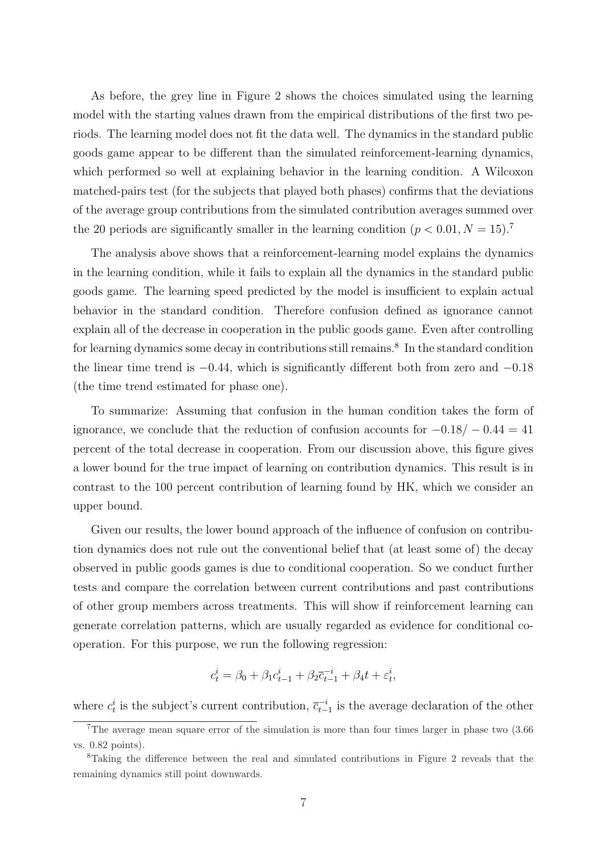As before, the grey line in Figure 2 shows the choices simulated using the learning model with the starting values drawn from the empirical distributions of the first two periods. The learning model does not fit the data well. The dynamics in the standard public goods game appear to be different than the simulated reinforcement-learning dynamics, which performed so well at explaining behavior in the learning condition. A Wilcoxon matched-pairs test (for the subjects that played both phases) confirms that the deviations of the average group contributions from the simulated contribution averages summed over the 20 periods are significantly smaller in the learning condition  $(p < 0.01, N = 15)^{7}$ .

The analysis above shows that a reinforcement-learning model explains the dynamics in the learning condition, while it fails to explain all the dynamics in the standard public goods game. The learning speed predicted by the model is insufficient to explain actual behavior in the standard condition. Therefore confusion defined as ignorance cannot explain all of the decrease in cooperation in the public goods game. Even after controlling for learning dynamics some decay in contributions still remains.<sup>8</sup> In the standard condition the linear time trend is −0.44, which is significantly different both from zero and −0.18 (the time trend estimated for phase one).

To summarize: Assuming that confusion in the human condition takes the form of ignorance, we conclude that the reduction of confusion accounts for  $-0.18/-0.44 = 41$ percent of the total decrease in cooperation. From our discussion above, this figure gives a lower bound for the true impact of learning on contribution dynamics. This result is in contrast to the 100 percent contribution of learning found by HK, which we consider an upper bound.

Given our results, the lower bound approach of the influence of confusion on contribution dynamics does not rule out the conventional belief that (at least some of) the decay observed in public goods games is due to conditional cooperation. So we conduct further tests and compare the correlation between current contributions and past contributions of other group members across treatments. This will show if reinforcement learning can generate correlation patterns, which are usually regarded as evidence for conditional cooperation. For this purpose, we run the following regression:

$$
c^i_t = \beta_0 + \beta_1 c^i_{t-1} + \beta_2 \overline{c}^{-i}_{t-1} + \beta_4 t + \varepsilon^i_t,
$$

where  $c_t^i$  is the subject's current contribution,  $\overline{c}_{t-1}^{-i}$  is the average declaration of the other

<sup>&</sup>lt;sup>7</sup>The average mean square error of the simulation is more than four times larger in phase two  $(3.66$ vs. 0.82 points).

<sup>8</sup>Taking the difference between the real and simulated contributions in Figure 2 reveals that the remaining dynamics still point downwards.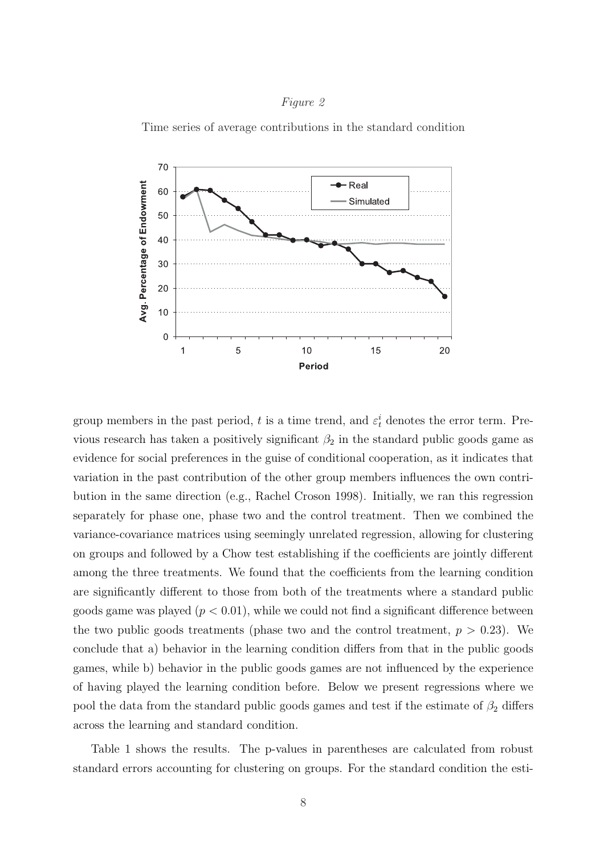#### Figure 2





group members in the past period, t is a time trend, and  $\varepsilon_t^i$  denotes the error term. Previous research has taken a positively significant  $\beta_2$  in the standard public goods game as evidence for social preferences in the guise of conditional cooperation, as it indicates that variation in the past contribution of the other group members influences the own contribution in the same direction (e.g., Rachel Croson 1998). Initially, we ran this regression separately for phase one, phase two and the control treatment. Then we combined the variance-covariance matrices using seemingly unrelated regression, allowing for clustering on groups and followed by a Chow test establishing if the coefficients are jointly different among the three treatments. We found that the coefficients from the learning condition are significantly different to those from both of the treatments where a standard public goods game was played  $(p < 0.01)$ , while we could not find a significant difference between the two public goods treatments (phase two and the control treatment,  $p > 0.23$ ). We conclude that a) behavior in the learning condition differs from that in the public goods games, while b) behavior in the public goods games are not influenced by the experience of having played the learning condition before. Below we present regressions where we pool the data from the standard public goods games and test if the estimate of  $\beta_2$  differs across the learning and standard condition.

Table 1 shows the results. The p-values in parentheses are calculated from robust standard errors accounting for clustering on groups. For the standard condition the esti-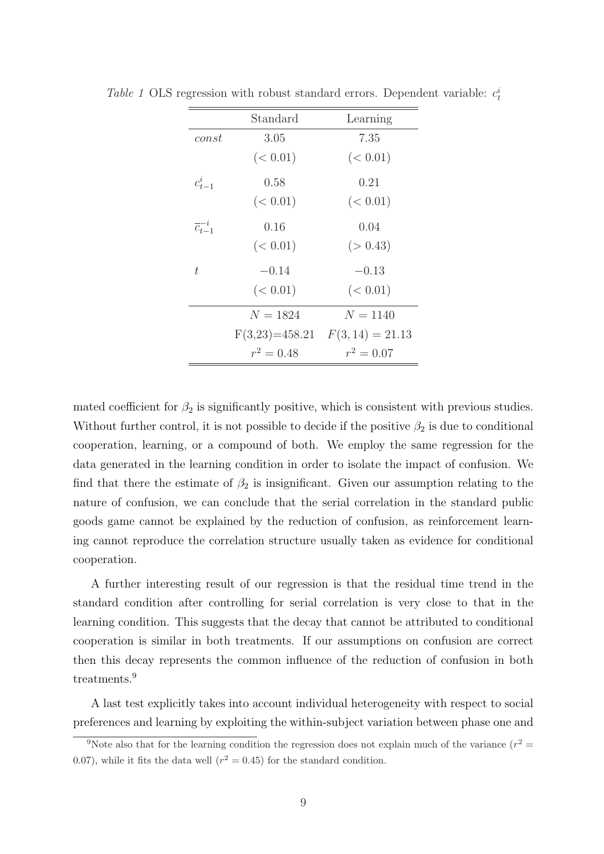|                           | Standard     | Learning                         |  |  |
|---------------------------|--------------|----------------------------------|--|--|
| const                     | 3.05         | 7.35                             |  |  |
|                           | (< 0.01)     | (< 0.01)                         |  |  |
| $c_{t-1}^i$               | 0.58         | 0.21                             |  |  |
|                           | (< 0.01)     | (< 0.01)                         |  |  |
| $\overline{C}_{t-1}^{-i}$ | 0.16         | 0.04                             |  |  |
|                           | (< 0.01)     | (> 0.43)                         |  |  |
| t.                        | $-0.14$      | $-0.13$                          |  |  |
|                           | (< 0.01)     | (< 0.01)                         |  |  |
|                           | $N = 1824$   | $N = 1140$                       |  |  |
|                           |              | $F(3,23)=458.21$ $F(3,14)=21.13$ |  |  |
|                           | $r^2 = 0.48$ | $r^2 = 0.07$                     |  |  |

Table 1 OLS regression with robust standard errors. Dependent variable:  $c_t^i$ 

mated coefficient for  $\beta_2$  is significantly positive, which is consistent with previous studies. Without further control, it is not possible to decide if the positive  $\beta_2$  is due to conditional cooperation, learning, or a compound of both. We employ the same regression for the data generated in the learning condition in order to isolate the impact of confusion. We find that there the estimate of  $\beta_2$  is insignificant. Given our assumption relating to the nature of confusion, we can conclude that the serial correlation in the standard public goods game cannot be explained by the reduction of confusion, as reinforcement learning cannot reproduce the correlation structure usually taken as evidence for conditional cooperation.

A further interesting result of our regression is that the residual time trend in the standard condition after controlling for serial correlation is very close to that in the learning condition. This suggests that the decay that cannot be attributed to conditional cooperation is similar in both treatments. If our assumptions on confusion are correct then this decay represents the common influence of the reduction of confusion in both treatments.<sup>9</sup>

A last test explicitly takes into account individual heterogeneity with respect to social preferences and learning by exploiting the within-subject variation between phase one and

<sup>&</sup>lt;sup>9</sup>Note also that for the learning condition the regression does not explain much of the variance  $(r^2 =$ 0.07), while it fits the data well ( $r^2 = 0.45$ ) for the standard condition.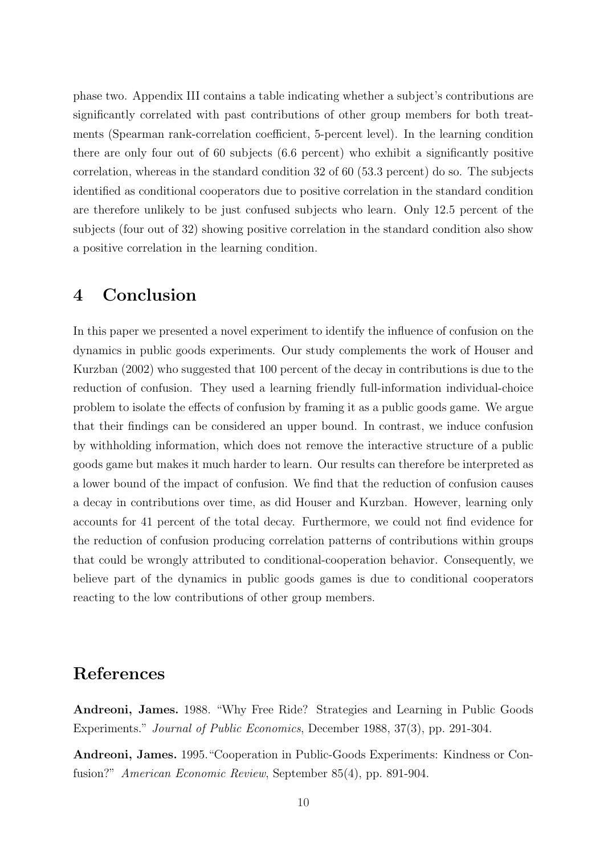phase two. Appendix III contains a table indicating whether a subject's contributions are significantly correlated with past contributions of other group members for both treatments (Spearman rank-correlation coefficient, 5-percent level). In the learning condition there are only four out of 60 subjects (6.6 percent) who exhibit a significantly positive correlation, whereas in the standard condition 32 of 60 (53.3 percent) do so. The subjects identified as conditional cooperators due to positive correlation in the standard condition are therefore unlikely to be just confused subjects who learn. Only 12.5 percent of the subjects (four out of 32) showing positive correlation in the standard condition also show a positive correlation in the learning condition.

## 4 Conclusion

In this paper we presented a novel experiment to identify the influence of confusion on the dynamics in public goods experiments. Our study complements the work of Houser and Kurzban (2002) who suggested that 100 percent of the decay in contributions is due to the reduction of confusion. They used a learning friendly full-information individual-choice problem to isolate the effects of confusion by framing it as a public goods game. We argue that their findings can be considered an upper bound. In contrast, we induce confusion by withholding information, which does not remove the interactive structure of a public goods game but makes it much harder to learn. Our results can therefore be interpreted as a lower bound of the impact of confusion. We find that the reduction of confusion causes a decay in contributions over time, as did Houser and Kurzban. However, learning only accounts for 41 percent of the total decay. Furthermore, we could not find evidence for the reduction of confusion producing correlation patterns of contributions within groups that could be wrongly attributed to conditional-cooperation behavior. Consequently, we believe part of the dynamics in public goods games is due to conditional cooperators reacting to the low contributions of other group members.

## References

Andreoni, James. 1988. "Why Free Ride? Strategies and Learning in Public Goods Experiments." Journal of Public Economics, December 1988, 37(3), pp. 291-304.

Andreoni, James. 1995."Cooperation in Public-Goods Experiments: Kindness or Confusion?" American Economic Review, September 85(4), pp. 891-904.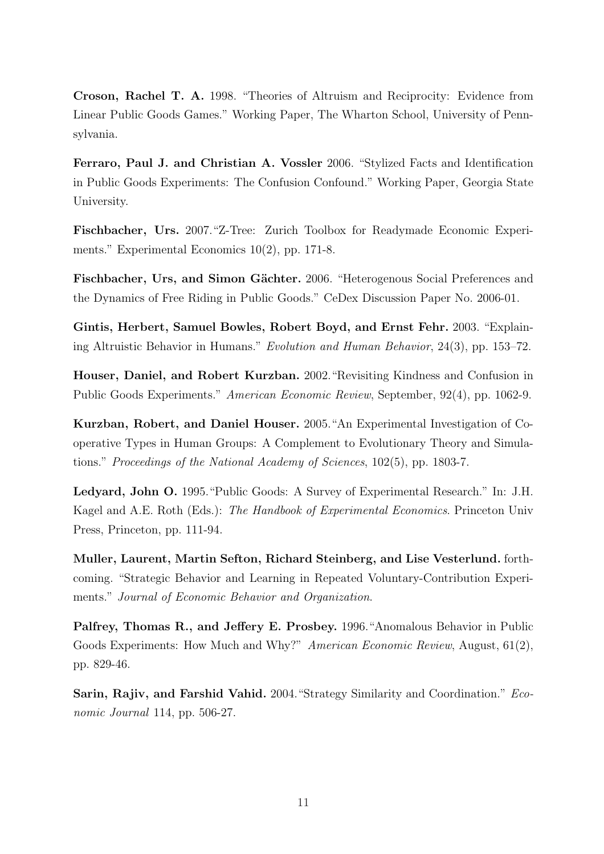Croson, Rachel T. A. 1998. "Theories of Altruism and Reciprocity: Evidence from Linear Public Goods Games." Working Paper, The Wharton School, University of Pennsylvania.

Ferraro, Paul J. and Christian A. Vossler 2006. "Stylized Facts and Identification in Public Goods Experiments: The Confusion Confound." Working Paper, Georgia State University.

Fischbacher, Urs. 2007."Z-Tree: Zurich Toolbox for Readymade Economic Experiments." Experimental Economics 10(2), pp. 171-8.

Fischbacher, Urs, and Simon Gächter. 2006. "Heterogenous Social Preferences and the Dynamics of Free Riding in Public Goods." CeDex Discussion Paper No. 2006-01.

Gintis, Herbert, Samuel Bowles, Robert Boyd, and Ernst Fehr. 2003. "Explaining Altruistic Behavior in Humans." Evolution and Human Behavior, 24(3), pp. 153–72.

Houser, Daniel, and Robert Kurzban. 2002."Revisiting Kindness and Confusion in Public Goods Experiments." American Economic Review, September, 92(4), pp. 1062-9.

Kurzban, Robert, and Daniel Houser. 2005."An Experimental Investigation of Cooperative Types in Human Groups: A Complement to Evolutionary Theory and Simulations." Proceedings of the National Academy of Sciences, 102(5), pp. 1803-7.

Ledyard, John O. 1995."Public Goods: A Survey of Experimental Research." In: J.H. Kagel and A.E. Roth (Eds.): The Handbook of Experimental Economics. Princeton Univ Press, Princeton, pp. 111-94.

Muller, Laurent, Martin Sefton, Richard Steinberg, and Lise Vesterlund. forthcoming. "Strategic Behavior and Learning in Repeated Voluntary-Contribution Experiments." Journal of Economic Behavior and Organization.

Palfrey, Thomas R., and Jeffery E. Prosbey. 1996. "Anomalous Behavior in Public Goods Experiments: How Much and Why?" American Economic Review, August, 61(2), pp. 829-46.

Sarin, Rajiv, and Farshid Vahid. 2004."Strategy Similarity and Coordination." Economic Journal 114, pp. 506-27.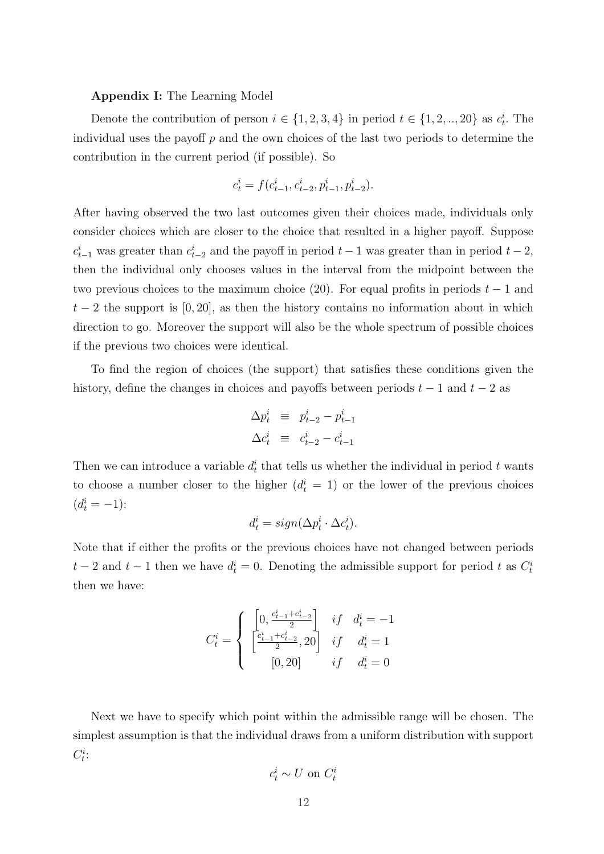### Appendix I: The Learning Model

Denote the contribution of person  $i \in \{1, 2, 3, 4\}$  in period  $t \in \{1, 2, ..., 20\}$  as  $c_t^i$ . The individual uses the payoff  $p$  and the own choices of the last two periods to determine the contribution in the current period (if possible). So

$$
c_t^i = f(c_{t-1}^i, c_{t-2}^i, p_{t-1}^i, p_{t-2}^i).
$$

After having observed the two last outcomes given their choices made, individuals only consider choices which are closer to the choice that resulted in a higher payoff. Suppose  $c_{t-1}^i$  was greater than  $c_{t-2}^i$  and the payoff in period  $t-1$  was greater than in period  $t-2$ , then the individual only chooses values in the interval from the midpoint between the two previous choices to the maximum choice (20). For equal profits in periods  $t - 1$  and  $t-2$  the support is [0, 20], as then the history contains no information about in which direction to go. Moreover the support will also be the whole spectrum of possible choices if the previous two choices were identical.

To find the region of choices (the support) that satisfies these conditions given the history, define the changes in choices and payoffs between periods  $t - 1$  and  $t - 2$  as

$$
\Delta p_t^i \equiv p_{t-2}^i - p_{t-1}^i
$$
  

$$
\Delta c_t^i \equiv c_{t-2}^i - c_{t-1}^i
$$

Then we can introduce a variable  $d_t^i$  that tells us whether the individual in period t wants to choose a number closer to the higher  $(d_t^i = 1)$  or the lower of the previous choices  $(d_t^i = -1)$ :

$$
d_t^i = sign(\Delta p_t^i \cdot \Delta c_t^i).
$$

Note that if either the profits or the previous choices have not changed between periods  $t-2$  and  $t-1$  then we have  $d_t^i = 0$ . Denoting the admissible support for period t as  $C_t^i$ then we have:

$$
C_t^i = \begin{cases} \begin{bmatrix} 0, \frac{c_{t-1}^i + c_{t-2}^i}{2} \\ \frac{c_{t-1}^i + c_{t-2}^i}{2}, 20 \end{bmatrix} & if & d_t^i = 1 \\ \begin{bmatrix} 0, 20 \end{bmatrix} & if & d_t^i = 0 \end{cases}
$$

Next we have to specify which point within the admissible range will be chosen. The simplest assumption is that the individual draws from a uniform distribution with support  $C_t^i$ :

$$
c_t^i \sim U \text{ on } C_t^i
$$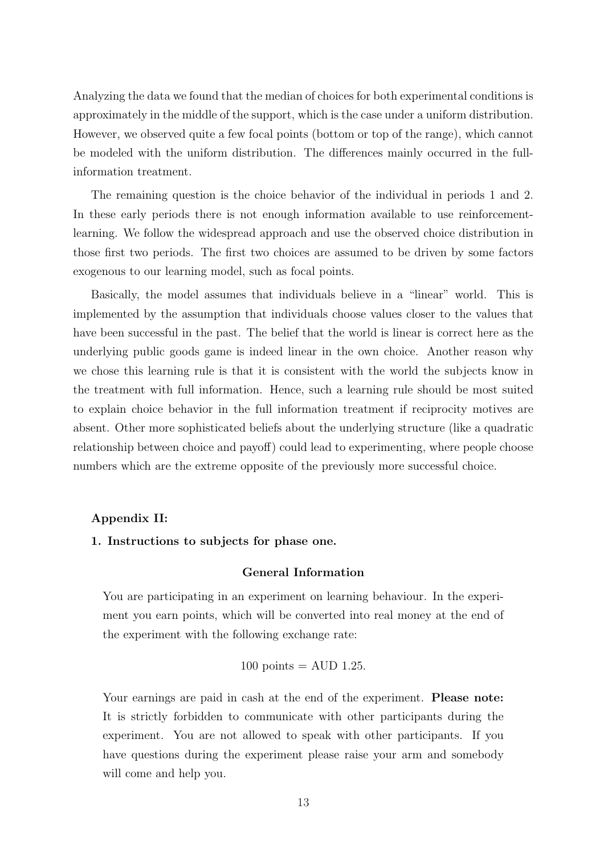Analyzing the data we found that the median of choices for both experimental conditions is approximately in the middle of the support, which is the case under a uniform distribution. However, we observed quite a few focal points (bottom or top of the range), which cannot be modeled with the uniform distribution. The differences mainly occurred in the fullinformation treatment.

The remaining question is the choice behavior of the individual in periods 1 and 2. In these early periods there is not enough information available to use reinforcementlearning. We follow the widespread approach and use the observed choice distribution in those first two periods. The first two choices are assumed to be driven by some factors exogenous to our learning model, such as focal points.

Basically, the model assumes that individuals believe in a "linear" world. This is implemented by the assumption that individuals choose values closer to the values that have been successful in the past. The belief that the world is linear is correct here as the underlying public goods game is indeed linear in the own choice. Another reason why we chose this learning rule is that it is consistent with the world the subjects know in the treatment with full information. Hence, such a learning rule should be most suited to explain choice behavior in the full information treatment if reciprocity motives are absent. Other more sophisticated beliefs about the underlying structure (like a quadratic relationship between choice and payoff) could lead to experimenting, where people choose numbers which are the extreme opposite of the previously more successful choice.

#### Appendix II:

#### 1. Instructions to subjects for phase one.

#### General Information

You are participating in an experiment on learning behaviour. In the experiment you earn points, which will be converted into real money at the end of the experiment with the following exchange rate:

$$
100 \text{ points} = \text{AUD } 1.25.
$$

Your earnings are paid in cash at the end of the experiment. Please note: It is strictly forbidden to communicate with other participants during the experiment. You are not allowed to speak with other participants. If you have questions during the experiment please raise your arm and somebody will come and help you.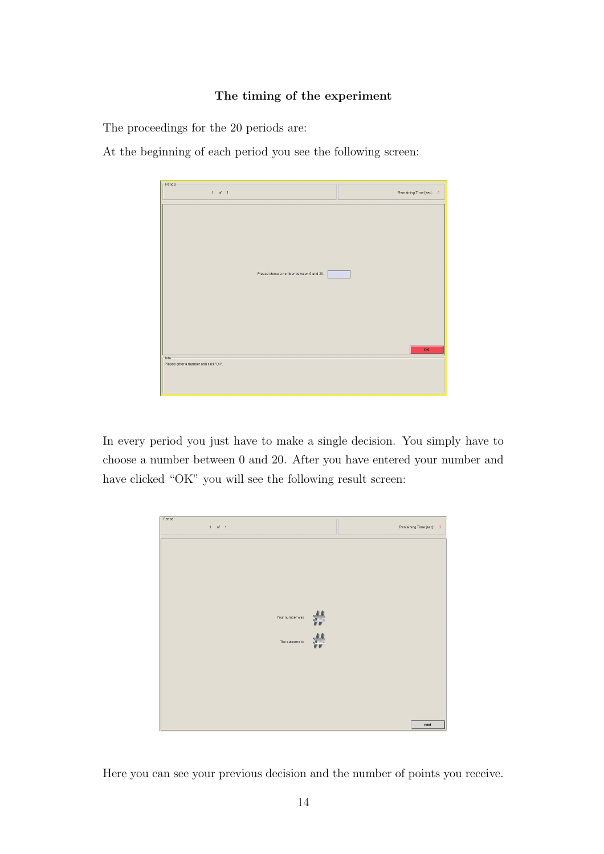### The timing of the experiment

The proceedings for the 20 periods are:

At the beginning of each period you see the following screen:

| $P$ eriod                            |                                         |                         |
|--------------------------------------|-----------------------------------------|-------------------------|
| $1$ of $1$                           |                                         | Remaining Time [sec]: 0 |
|                                      |                                         |                         |
| $-$ Info $-$                         | Please chose a number between 0 and 20. | OK                      |
| Please enter a number and click"OK". |                                         |                         |
|                                      |                                         |                         |
|                                      |                                         |                         |

In every period you just have to make a single decision. You simply have to choose a number between 0 and 20. After you have entered your number and have clicked "OK" you will see the following result screen:



Here you can see your previous decision and the number of points you receive.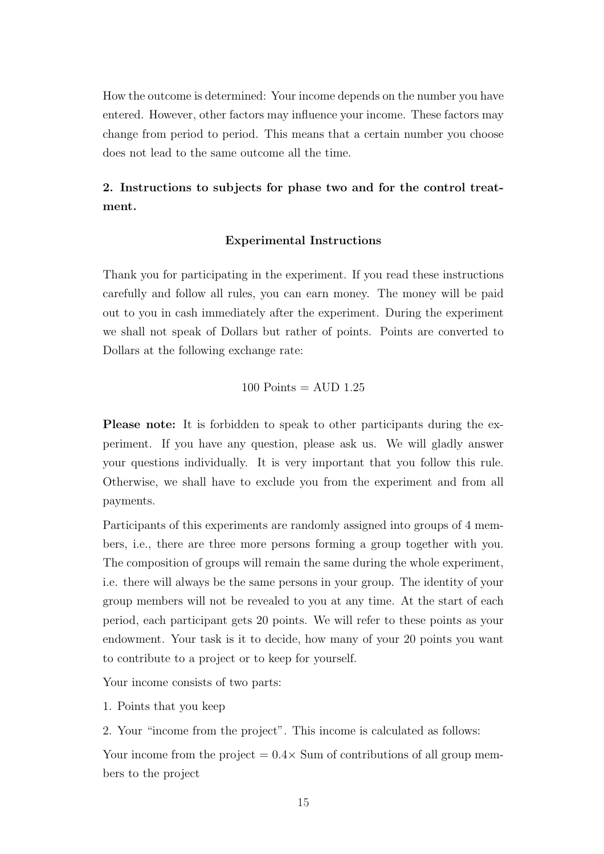How the outcome is determined: Your income depends on the number you have entered. However, other factors may influence your income. These factors may change from period to period. This means that a certain number you choose does not lead to the same outcome all the time.

### 2. Instructions to subjects for phase two and for the control treatment.

### Experimental Instructions

Thank you for participating in the experiment. If you read these instructions carefully and follow all rules, you can earn money. The money will be paid out to you in cash immediately after the experiment. During the experiment we shall not speak of Dollars but rather of points. Points are converted to Dollars at the following exchange rate:

$$
100 \text{ Points} = \text{AUD} \ 1.25
$$

Please note: It is forbidden to speak to other participants during the experiment. If you have any question, please ask us. We will gladly answer your questions individually. It is very important that you follow this rule. Otherwise, we shall have to exclude you from the experiment and from all payments.

Participants of this experiments are randomly assigned into groups of 4 members, i.e., there are three more persons forming a group together with you. The composition of groups will remain the same during the whole experiment, i.e. there will always be the same persons in your group. The identity of your group members will not be revealed to you at any time. At the start of each period, each participant gets 20 points. We will refer to these points as your endowment. Your task is it to decide, how many of your 20 points you want to contribute to a project or to keep for yourself.

Your income consists of two parts:

1. Points that you keep

2. Your "income from the project". This income is calculated as follows:

Your income from the project  $= 0.4 \times$  Sum of contributions of all group members to the project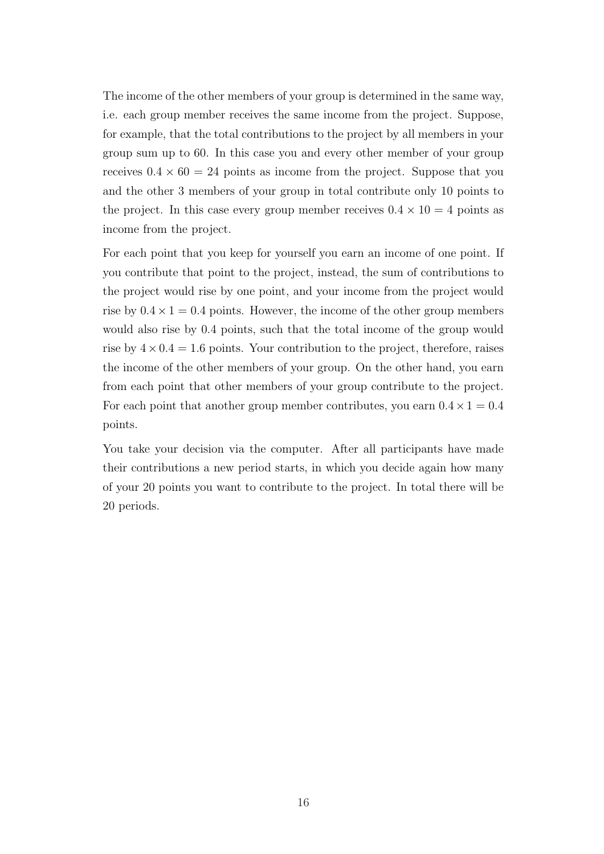The income of the other members of your group is determined in the same way, i.e. each group member receives the same income from the project. Suppose, for example, that the total contributions to the project by all members in your group sum up to 60. In this case you and every other member of your group receives  $0.4 \times 60 = 24$  points as income from the project. Suppose that you and the other 3 members of your group in total contribute only 10 points to the project. In this case every group member receives  $0.4 \times 10 = 4$  points as income from the project.

For each point that you keep for yourself you earn an income of one point. If you contribute that point to the project, instead, the sum of contributions to the project would rise by one point, and your income from the project would rise by  $0.4 \times 1 = 0.4$  points. However, the income of the other group members would also rise by 0.4 points, such that the total income of the group would rise by  $4 \times 0.4 = 1.6$  points. Your contribution to the project, therefore, raises the income of the other members of your group. On the other hand, you earn from each point that other members of your group contribute to the project. For each point that another group member contributes, you earn  $0.4 \times 1 = 0.4$ points.

You take your decision via the computer. After all participants have made their contributions a new period starts, in which you decide again how many of your 20 points you want to contribute to the project. In total there will be 20 periods.